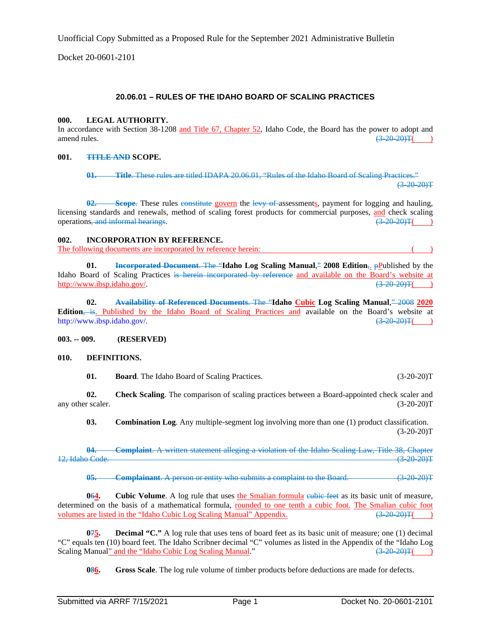Unofficial Copy Submitted as a Proposed Rule for the September 2021 Administrative Bulletin

Docket 20-0601-2101

# **20.06.01 – RULES OF THE IDAHO BOARD OF SCALING PRACTICES**

#### **000. LEGAL AUTHORITY.**

In accordance with Section 38-1208 and Title 67, Chapter 52, Idaho Code, the Board has the power to adopt and amend rules.  $\left(3-20-20\right)\text{T}$  (2004)

## **001. TITLE AND SCOPE.**

**01. Title**. These rules are titled IDAPA 20.06.01, "Rules of the Idaho Board of Scaling Practices."  $(3-20-20)T$ 

**8**-Scope. These rules constitute govern the levy of assessments, payment for logging and hauling, licensing standards and renewals, method of scaling forest products for commercial purposes,  $\frac{\text{and}}{(3-20-20)T(0)}$  operations-and informal hearings. operations, and informal hearings.

#### **002. INCORPORATION BY REFERENCE.**

The following documents are incorporated by reference herein:

**01. Incorporated Document**. The "**Idaho Log Scaling Manual**," **2008 Edition**,. pPublished by the Idaho Board of Scaling Practices is herein incorporated by reference and available on the Board's website at [http://www.ibsp.idaho.gov/.](http://www.ibsp.idaho.gov/)  $\left(3-20-20\right)\text{T}$ ( $\left(3-20-20\right)\text{T}$ ( $\left(3-20-20\right)\text{T}$ 

**02. Availability of Referenced Documents**. The "**Idaho Cubic Log Scaling Manual**," 2008 **2020 Edition**, is. Published by the Idaho Board of Scaling Practices and available on the Board's website at [http://www.ibsp.idaho.gov/.](http://www.ibsp.idaho.gov/) (3-20-20)T( )

#### **003. -- 009. (RESERVED)**

#### **010. DEFINITIONS.**

**01. Board**. The Idaho Board of Scaling Practices. (3-20-20)T

**02. Check Scaling**. The comparison of scaling practices between a Board-appointed check scaler and any other scaler. (3-20-20)T

**03. Combination Log**. Any multiple-segment log involving more than one (1) product classification.  $(3-20-20)T$ 

**04. Complaint**. A written statement alleging a violation of the Idaho Scaling Law, Title 38, Chapter 12, Idaho Code.

**05. Complainant**. A person or entity who submits a complaint to the Board. (3-20-20)T

**064. Cubic Volume**. A log rule that uses the Smalian formula eubic feet as its basic unit of measure, determined on the basis of a mathematical formula, rounded to one tenth a cubic foot. The Smalian cubic foot volumes are listed in the "Idaho Cubic Log Scaling Manual" Appendix.  $(3-20-20)T($ 

**075. Decimal "C."** A log rule that uses tens of board feet as its basic unit of measure; one (1) decimal "C" equals ten (10) board feet. The Idaho Scribner decimal "C" volumes as listed in the Appendix of the "Idaho Log Scaling Manual"  $(3-20-20)$ T() Scaling Manual" and the "Idaho Cubic Log Scaling Manual."

**086. Gross Scale**. The log rule volume of timber products before deductions are made for defects.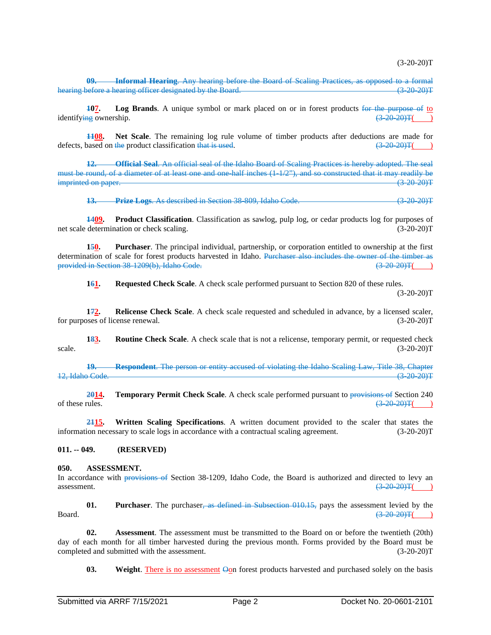$(3-20-20)T$ 

**Informal Hearing**. Any hearing before the Board of Scaling Practices, as opposed to a formal<br>rearing officer designated by the Board hearing before a hearing officer designated by the Board.

**107. Log Brands**. A unique symbol or mark placed on or in forest products for the purpose of to  $\frac{100}{(3.20, 20)^{T}}$ identifying ownership.

**1108. Net Scale**. The remaining log rule volume of timber products after deductions are made for pased on the product classification that is used.  $\left(\frac{320-20}{1}\right)$ defects, based on the product classification that is used.

**12. Official Seal**. An official seal of the Idaho Board of Scaling Practices is hereby adopted. The seal must be round, of a diameter of at least one and one half inches (1-1/2"), and so constructed that it may readily be imprinted on paper. (3-20-20) The contract of the contract of the contract of the contract of the contract of the contract of the contract of the contract of the contract of the contract of the contract of the contract of

**13. Prize Logs**. As described in Section 38-809, Idaho Code. (3-20-20)T

**1409. Product Classification**. Classification as sawlog, pulp log, or cedar products log for purposes of net scale determination or check scaling. (3-20-20)T

**150. Purchaser**. The principal individual, partnership, or corporation entitled to ownership at the first determination of scale for forest products harvested in Idaho. Purchaser also includes the owner of the timber as provided in Section 38-1209(b), Idaho Code. (3-20-20)T( )

**161. Requested Check Scale**. A check scale performed pursuant to Section 820 of these rules.

 $(3-20-20)T$ 

**172. Relicense Check Scale**. A check scale requested and scheduled in advance, by a licensed scaler, for purposes of license renewal. (3-20-20)T

**183. Routine Check Scale**. A check scale that is not a relicense, temporary permit, or requested check scale.  $(3-20-20)T$ 

**19. Respondent**. The person or entity accused of violating the Idaho Scaling Law, Title 38, Chapter 12, Idaho Code. (3-20-20)T

**2014. Temporary Permit Check Scale**. A check scale performed pursuant to provisions of Section 240 of these rules.  $\frac{(3-20-20)}{T}$  (3.200) of these rules.

**2115. Written Scaling Specifications**. A written document provided to the scaler that states the information necessary to scale logs in accordance with a contractual scaling agreement. (3-20-20)T

**011. -- 049. (RESERVED)**

#### **050. ASSESSMENT.**

In accordance with provisions of Section 38-1209, Idaho Code, the Board is authorized and directed to levy an assessment.  $\left(3-20-20\right)\text{T}$  ( $\left(3-20-20\right)\text{T}$ )

**01. Purchaser**. The purchaser, as defined in Subsection 010.15, pays the assessment levied by the Board.  $\frac{(3-20-20)\text{T}}{6}$  (3.20.20) T(1.1)

**02. Assessment**. The assessment must be transmitted to the Board on or before the twentieth (20th) day of each month for all timber harvested during the previous month. Forms provided by the Board must be completed and submitted with the assessment. (3-20-20)T

**03. Weight**. There is no assessment  $\Theta$  on forest products harvested and purchased solely on the basis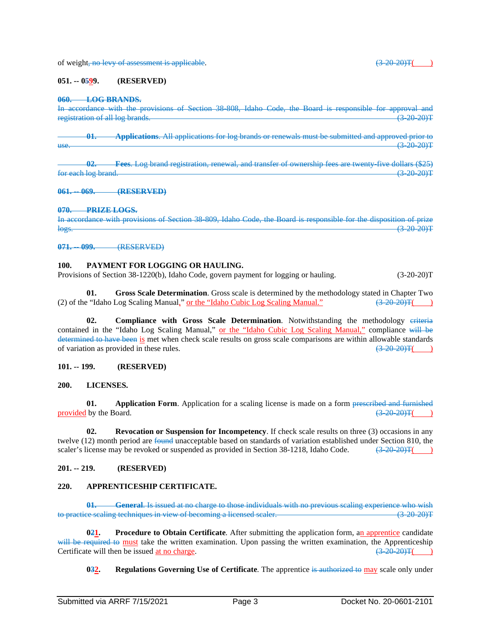of weight, no levy of assessment is applicable.  $(3-20-20)T($ 

#### **051. -- 0599. (RESERVED)**

#### **060. LOG BRANDS.**

In accordance with the provisions of Section 38-808, Idaho Code, the Board is responsible for approval and registration of all log brands registration of all log brands.

**01. Applications**. All applications for log brands or renewals must be submitted and approved prior to use.  $(3-20-20)$ T

**02. Fees.** Log brand registration, renewal, and transfer of ownership fees are twenty-five dollars (\$25) log brand (3.20.20). for each log brand.

**061. -- 069. (RESERVED)**

#### **070. PRIZE LOGS.**

In accordance with provisions of Section 38-809, Idaho Code, the Board is responsible for the disposition of prize  $\log$ s. (3-20-20)T

**071. -- 099.** (RESERVED)

# **100. PAYMENT FOR LOGGING OR HAULING.**

Provisions of Section 38-1220(b), Idaho Code, govern payment for logging or hauling. (3-20-20)T

**01. Gross Scale Determination**. Gross scale is determined by the methodology stated in Chapter Two (2) of the "Idaho Log Scaling Manual," or the "Idaho Cubic Log Scaling Manual."  $\left(3-20-20\right)T$ ( $\left(3-20-20\right)T$ 

**02. Compliance with Gross Scale Determination**. Notwithstanding the methodology eriteria contained in the "Idaho Log Scaling Manual," or the "Idaho Cubic Log Scaling Manual," compliance will be determined to have been is met when check scale results on gross scale comparisons are within allowable standards of variation as provided in these rules. of variation as provided in these rules.  $\left(3-20-20\right)\text{T}$  (3)

## **101. -- 199. (RESERVED)**

#### **200. LICENSES.**

**01. Application Form**. Application for a scaling license is made on a form prescribed and furnished provided by the Board.  $\left(3-20-20\right)\text{T}$  ( $\left(3-20-20\right)\text{T}$  ( $\left(3-20-20\right)\text{T}$ )

**02. Revocation or Suspension for Incompetency**. If check scale results on three (3) occasions in any twelve (12) month period are found unacceptable based on standards of variation established under Section 810, the scaler's license may be revoked or suspended as provided in Section 38-1218, Idaho Code.  $\left(3-20-20\right)T\left(2\right)$ 

## **201. -- 219. (RESERVED)**

#### **220. APPRENTICESHIP CERTIFICATE.**

**01. General**. Is issued at no charge to those individuals with no previous scaling experience who wish to practice scaling techniques in view of becoming a licensed scaler. (3-20-20) (3-20-20) T

**021. Procedure to Obtain Certificate**. After submitting the application form, an apprentice candidate will be required to must take the written examination. Upon passing the written examination, the Apprenticeship Certificate will then be issued at no charge.  $\left(3-20-20\right)T($  )

**032. Regulations Governing Use of Certificate**. The apprentice is authorized to may scale only under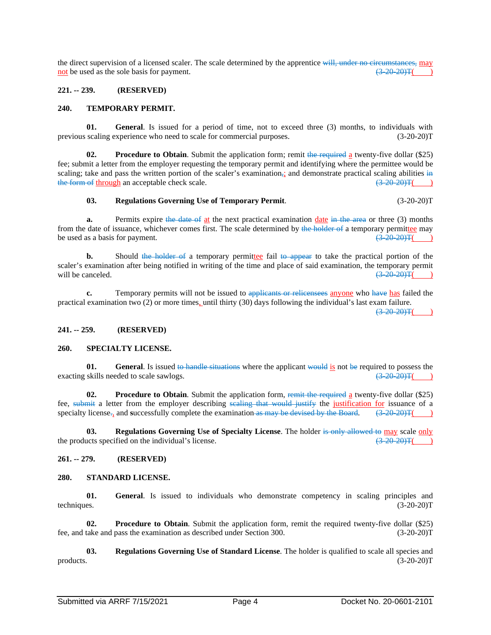the direct supervision of a licensed scaler. The scale determined by the apprentice will, under no circumstances, may not be used as the sole basis for payment.  $\left(3-20-20\right)\text{F(s)}$ 

## **221. -- 239. (RESERVED)**

#### **240. TEMPORARY PERMIT.**

**01. General**. Is issued for a period of time, not to exceed three (3) months, to individuals with scaling experience who need to scale for commercial purposes. (3-20-20)<sup>T</sup> previous scaling experience who need to scale for commercial purposes.

**02. Procedure to Obtain**. Submit the application form; remit the required a twenty-five dollar (\$25) fee; submit a letter from the employer requesting the temporary permit and identifying where the permittee would be scaling; take and pass the written portion of the scaler's examination<sub>i</sub>; and demonstrate practical scaling abilities in the form of through an acceptable check scale.  $(3-20-20)T($  )

#### **03. Regulations Governing Use of Temporary Permit**. (3-20-20)T

**a.** Permits expire the date of at the next practical examination date in the area or three (3) months from the date of issuance, whichever comes first. The scale determined by the holder of a temporary permittee may be used as a basis for payment.  $\left(3\right.20\right.20\left.7\right)$ be used as a basis for payment.

**b.** Should the holder of a temporary permittee fail to appear to take the practical portion of the scaler's examination after being notified in writing of the time and place of said examination, the temporary permit will be canceled.  $\left(\frac{3-20-20}{\pi}\right)$ will be canceled.  $\left(3-20-20\right)\text{T}$  ( $\left(3-20-20\right)\text{T}$ )

**c.** Temporary permits will not be issued to applicants or relicensees anyone who have has failed the practical examination two (2) or more times, until thirty (30) days following the individual's last exam failure.  $(3-20-20)$ T

## **241. -- 259. (RESERVED)**

#### **260. SPECIALTY LICENSE.**

**01. General**. Is issued to handle situations where the applicant would is not be required to possess the skills needed to scale sawlogs.  $\left(\frac{3-20-20}{7}\right)$ exacting skills needed to scale sawlogs.

**02. Procedure to Obtain**. Submit the application form, remit the required a twenty-five dollar (\$25) fee, submit a letter from the employer describing scaling that would justify the justification for issuance of a specialty license<sub>r</sub>, and **successfully** complete the examination as may be devised by the Board. (3-20-20)T(

**03. Regulations Governing Use of Specialty License**. The holder is only allowed to may scale only the products specified on the individual's license.  $\left(3-20-20\right)T\left(3-20-20\right)T\left(3-20-20\right)T\left(3-20-20\right)T\left(3-20-20\right)T\left(3-20-20\right)T\left(3-20-20\right)T\left(3-20-20\right)T\left(3-20-20\right)T\left(3-20\right)T\left(3-20\right)T\left(3-20\right)T\left(3-20\right$ 

#### **261. -- 279. (RESERVED)**

#### **280. STANDARD LICENSE.**

**01. General**. Is issued to individuals who demonstrate competency in scaling principles and techniques. (3-20-20)T

**02. Procedure to Obtain**. Submit the application form, remit the required twenty-five dollar (\$25) fee, and take and pass the examination as described under Section 300. (3-20-20)T

**03. Regulations Governing Use of Standard License**. The holder is qualified to scale all species and  $\text{products.}$  (3-20-20)T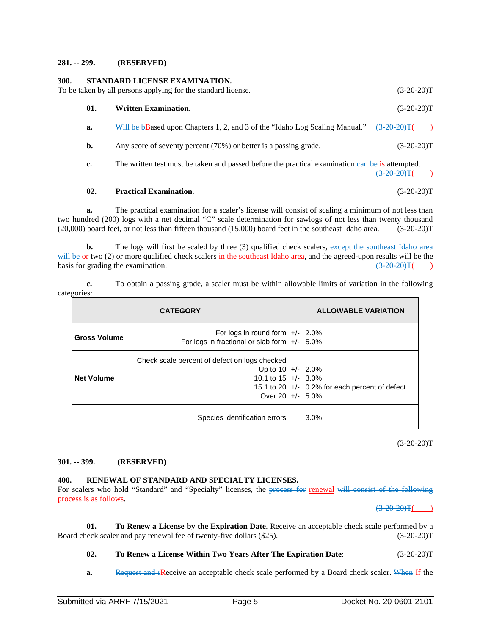#### **281. -- 299. (RESERVED)**

# **300. STANDARD LICENSE EXAMINATION.** To be taken by all persons applying for the standard license. (3-20-20)T **01. Written Examination**. (3-20-20)T **a.** Will be  $b\text{Base}$  upon Chapters 1, 2, and 3 of the "Idaho Log Scaling Manual."  $\left(\frac{3-20-20}{1}\right)$ **b.** Any score of seventy percent (70%) or better is a passing grade. (3-20-20)T

**c.** The written test must be taken and passed before the practical examination early be is attempted.  $(3-20-20)T($ 

## **02. Practical Examination**. (3-20-20)T

**a.** The practical examination for a scaler's license will consist of scaling a minimum of not less than two hundred (200) logs with a net decimal "C" scale determination for sawlogs of not less than twenty thousand (20,000) board feet, or not less than fifteen thousand (15,000) board feet in the southeast Idaho area. (3-20-20)T

**b.** The logs will first be scaled by three (3) qualified check scalers, except the southeast Idaho area will be or two (2) or more qualified check scalers in the southeast Idaho area, and the agreed-upon results will be the basis for grading the examination.  $\left(3-20-20\right)T$ 

**c.** To obtain a passing grade, a scaler must be within allowable limits of variation in the following categories:

| <b>CATEGORY</b>     |                                                                                                                       | <b>ALLOWABLE VARIATION</b>                       |  |
|---------------------|-----------------------------------------------------------------------------------------------------------------------|--------------------------------------------------|--|
| <b>Gross Volume</b> | For logs in round form $+/- 2.0\%$<br>For logs in fractional or slab form $+/-$ 5.0%                                  |                                                  |  |
| <b>Net Volume</b>   | Check scale percent of defect on logs checked<br>Up to $10 +/- 2.0\%$<br>10.1 to 15 $+/-$ 3.0%<br>Over $20 +/- 5.0\%$ | 15.1 to 20 $+/-$ 0.2% for each percent of defect |  |
|                     | Species identification errors                                                                                         | $3.0\%$                                          |  |

 $(3-20-20)T$ 

## **301. -- 399. (RESERVED)**

## **400. RENEWAL OF STANDARD AND SPECIALTY LICENSES.**

For scalers who hold "Standard" and "Specialty" licenses, the process for renewal will consist of the following process is as follows.

 $(3-20-20)T($ 

**01. To Renew a License by the Expiration Date**. Receive an acceptable check scale performed by a Board check scaler and pay renewal fee of twenty-five dollars (\$25). (3-20-20)T

## **02. To Renew a License Within Two Years After The Expiration Date**: (3-20-20)T

**a.** Request and **rReceive an acceptable check scale performed by a Board check scaler.** When If the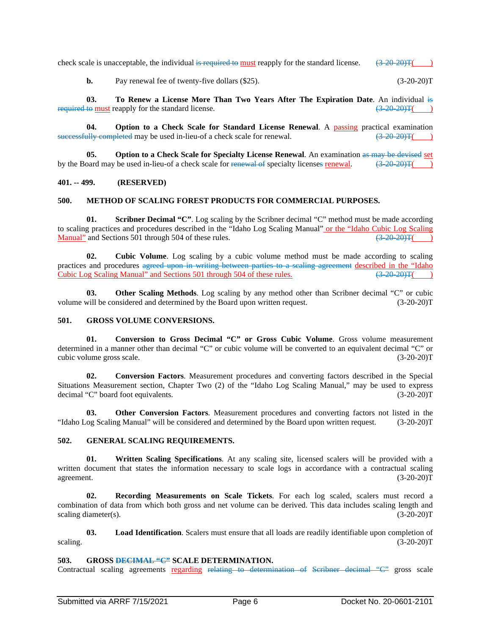check scale is unacceptable, the individual is required to must reapply for the standard license.  $(3-20-20)T($ 

**b.** Pay renewal fee of twenty-five dollars (\$25). (3-20-20) (3-20-20) T

**03. To Renew a License More Than Two Years After The Expiration Date**. An individual is required to must reapply for the standard license.  $(3-20-20)T($  )

**04. Option to a Check Scale for Standard License Renewal**. A passing practical examination successfully completed may be used in-lieu-of a check scale for renewal.  $\left(3-20-20\right)T($  )

**05. Option to a Check Scale for Specialty License Renewal**. An examination as may be devised set by the Board may be used in-lieu-of a check scale for renewal of specialty licenses renewal.  $\left(3-20-20\right)T$ ( )

## **401. -- 499. (RESERVED)**

## **500. METHOD OF SCALING FOREST PRODUCTS FOR COMMERCIAL PURPOSES.**

**01. Scribner Decimal "C"**. Log scaling by the Scribner decimal "C" method must be made according to scaling practices and procedures described in the "Idaho Log Scaling Manual" <u>or the "Idaho Cubic Log Scaling Manual</u>" and Sections 501 through 504 of these rules.  $\frac{(3-20-20)\text{F}}{(1-20-20)\text{F}}$ Manual" and Sections 501 through 504 of these rules. (3-20-20)T( )

**02. Cubic Volume**. Log scaling by a cubic volume method must be made according to scaling practices and procedures agreed upon in writing between parties to a scaling agreement described in the "Idaho Cubic Log Scaling Manual" and Sections 501 through 504 of these rules. (3-20-20)T( )

**03. Other Scaling Methods**. Log scaling by any method other than Scribner decimal "C" or cubic volume will be considered and determined by the Board upon written request. (3-20-20)T

## **501. GROSS VOLUME CONVERSIONS.**

**01. Conversion to Gross Decimal "C" or Gross Cubic Volume**. Gross volume measurement determined in a manner other than decimal "C" or cubic volume will be converted to an equivalent decimal "C" or cubic volume gross scale. (3-20-20)T

**02. Conversion Factors**. Measurement procedures and converting factors described in the Special Situations Measurement section, Chapter Two (2) of the "Idaho Log Scaling Manual," may be used to express decimal "C" board foot equivalents. (3-20-20)T

**03. Other Conversion Factors**. Measurement procedures and converting factors not listed in the "Idaho Log Scaling Manual" will be considered and determined by the Board upon written request. (3-20-20)T

## **502. GENERAL SCALING REQUIREMENTS.**

**01. Written Scaling Specifications**. At any scaling site, licensed scalers will be provided with a written document that states the information necessary to scale logs in accordance with a contractual scaling agreement. (3-20-20)T

**02. Recording Measurements on Scale Tickets**. For each log scaled, scalers must record a combination of data from which both gross and net volume can be derived. This data includes scaling length and scaling diameter(s).  $(3-20-20)T$ 

**03. Load Identification**. Scalers must ensure that all loads are readily identifiable upon completion of scaling.  $(3-20-20)T$ 

## **503. GROSS DECIMAL "C" SCALE DETERMINATION.**

Contractual scaling agreements regarding relating to determination of Scribner decimal "C" gross scale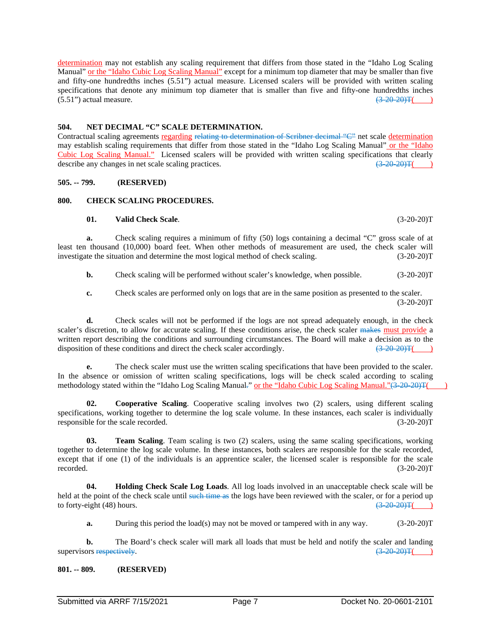determination may not establish any scaling requirement that differs from those stated in the "Idaho Log Scaling Manual" or the "Idaho Cubic Log Scaling Manual" except for a minimum top diameter that may be smaller than five and fifty-one hundredths inches (5.51") actual measure. Licensed scalers will be provided with written scaling specifications that denote any minimum top diameter that is smaller than five and fifty-one hundredths inches  $(5.51)$  actual measure. (3-20-20)T(

## **504. NET DECIMAL "C" SCALE DETERMINATION.**

Contractual scaling agreements regarding relating to determination of Scribner decimal "C" net scale determination may establish scaling requirements that differ from those stated in the "Idaho Log Scaling Manual" or the "Idaho Cubic Log Scaling Manual." Licensed scalers will be provided with written scaling specifications that clearly describe any changes in net scale scaling practices.  $\left(3-20-20\right)T$ ( $\left(3-20-20\right)T$ )

# **505. -- 799. (RESERVED)**

# **800. CHECK SCALING PROCEDURES.**

#### **01. Valid Check Scale**. (3-20-20)T

**a.** Check scaling requires a minimum of fifty (50) logs containing a decimal "C" gross scale of at least ten thousand (10,000) board feet. When other methods of measurement are used, the check scaler will investigate the situation and determine the most logical method of check scaling. (3-20-20)T

**b.** Check scaling will be performed without scaler's knowledge, when possible. (3-20-20)T

**c.** Check scales are performed only on logs that are in the same position as presented to the scaler.  $(3-20-20)T$ 

**d.** Check scales will not be performed if the logs are not spread adequately enough, in the check scaler's discretion, to allow for accurate scaling. If these conditions arise, the check scaler makes must provide a written report describing the conditions and surrounding circumstances. The Board will make a decision as to the disposition of these conditions and direct the check scaler accordingly.  $\left(3\right.20\right.20\left.7\right)$ disposition of these conditions and direct the check scaler accordingly.

**e.** The check scaler must use the written scaling specifications that have been provided to the scaler. In the absence or omission of written scaling specifications, logs will be check scaled according to scaling methodology stated within the "Idaho Log Scaling Manual." or the "Idaho Cubic Log Scaling Manual."(3-20-20)T(

**02. Cooperative Scaling**. Cooperative scaling involves two (2) scalers, using different scaling specifications, working together to determine the log scale volume. In these instances, each scaler is individually responsible for the scale recorded. (3-20-20)T

**03. Team Scaling**. Team scaling is two (2) scalers, using the same scaling specifications, working together to determine the log scale volume. In these instances, both scalers are responsible for the scale recorded, except that if one (1) of the individuals is an apprentice scaler, the licensed scaler is responsible for the scale recorded.  $(3-20-20)T$ 

**04. Holding Check Scale Log Loads**. All log loads involved in an unacceptable check scale will be held at the point of the check scale until <del>such time as</del> the logs have been reviewed with the scaler, or for a period up to forty-eight (48) hours.  $\left(320-20\right)T($ to forty-eight  $(48)$  hours.

**a.** During this period the load(s) may not be moved or tampered with in any way.  $(3-20-20)T$ 

**b.** The Board's check scaler will mark all loads that must be held and notify the scaler and landing supervisors respectively.  $\left(3-20-20\right)\text{T}$  (3-20-20)T( )

**801. -- 809. (RESERVED)**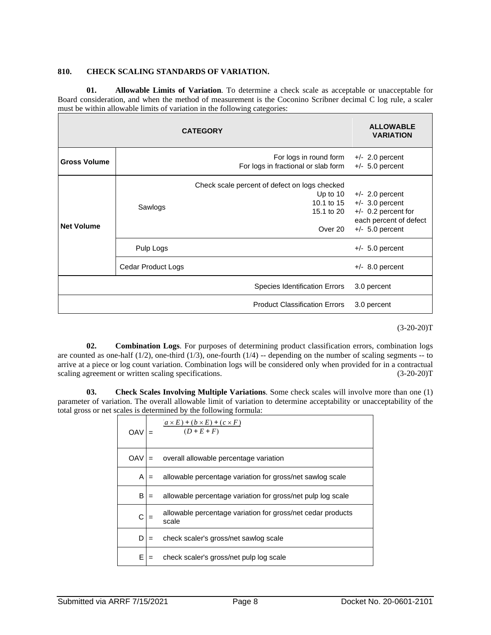## **810. CHECK SCALING STANDARDS OF VARIATION.**

**01. Allowable Limits of Variation**. To determine a check scale as acceptable or unacceptable for Board consideration, and when the method of measurement is the Coconino Scribner decimal C log rule, a scaler must be within allowable limits of variation in the following categories:

| <b>CATEGORY</b>     |                    |                                                                                                    | <b>ALLOWABLE</b><br><b>VARIATION</b>   |
|---------------------|--------------------|----------------------------------------------------------------------------------------------------|----------------------------------------|
| <b>Gross Volume</b> |                    | For logs in round form<br>For logs in fractional or slab form                                      | $+/- 2.0$ percent<br>$+/- 5.0$ percent |
| <b>Net Volume</b>   | Sawlogs            | Check scale percent of defect on logs checked<br>Up to $10$<br>10.1 to 15<br>15.1 to 20<br>Over 20 |                                        |
|                     | Pulp Logs          |                                                                                                    | $+/-$ 5.0 percent                      |
|                     | Cedar Product Logs |                                                                                                    | $+/-$ 8.0 percent                      |
|                     |                    | <b>Species Identification Errors</b>                                                               | 3.0 percent                            |
|                     |                    | <b>Product Classification Errors</b>                                                               | 3.0 percent                            |

 $(3-20-20)T$ 

**02. Combination Logs**. For purposes of determining product classification errors, combination logs are counted as one-half  $(1/2)$ , one-third  $(1/3)$ , one-fourth  $(1/4)$  -- depending on the number of scaling segments -- to arrive at a piece or log count variation. Combination logs will be considered only when provided for in a contractual scaling agreement or written scaling specifications. (3-20-20)T

**03. Check Scales Involving Multiple Variations**. Some check scales will involve more than one (1) parameter of variation. The overall allowable limit of variation to determine acceptability or unacceptability of the total gross or net scales is determined by the following formula:

| OAV |     | $\frac{(a \times E) + (b \times E) + (c \times F)}{(D + E + F)}$     |
|-----|-----|----------------------------------------------------------------------|
| OAV |     | overall allowable percentage variation                               |
| A   | $=$ | allowable percentage variation for gross/net sawlog scale            |
| B   | $=$ | allowable percentage variation for gross/net pulp log scale          |
|     |     | allowable percentage variation for gross/net cedar products<br>scale |
| D   | $=$ | check scaler's gross/net sawlog scale                                |
| F   | $=$ | check scaler's gross/net pulp log scale                              |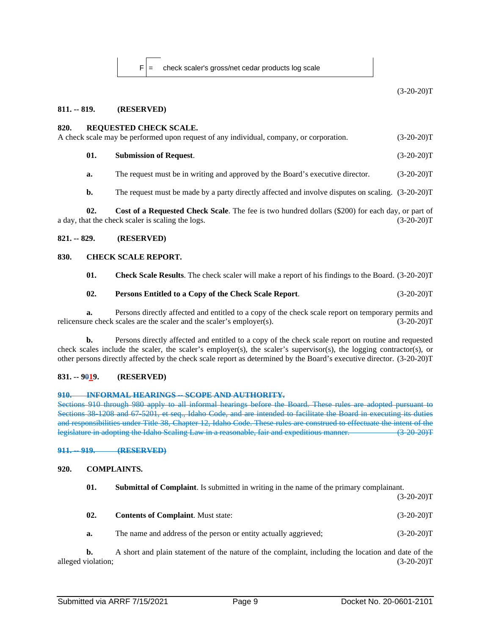$F$  = check scaler's gross/net cedar products log scale

 $(3-20-20)T$ 

#### **811. -- 819. (RESERVED)**

#### **820. REQUESTED CHECK SCALE.**

| A check scale may be performed upon request of any individual, company, or corporation. | $(3-20-20)T$ |
|-----------------------------------------------------------------------------------------|--------------|
| <b>Submission of Request.</b>                                                           | $(3-20-20)T$ |

**a.** The request must be in writing and approved by the Board's executive director. (3-20-20)T

**b.** The request must be made by a party directly affected and involve disputes on scaling.  $(3-20-20)T$ 

**02. Cost of a Requested Check Scale**. The fee is two hundred dollars (\$200) for each day, or part of a day, that the check scaler is scaling the logs. (3-20-20)T

## **821. -- 829. (RESERVED)**

#### **830. CHECK SCALE REPORT.**

**01. Check Scale Results**. The check scaler will make a report of his findings to the Board. (3-20-20)T

## **02. Persons Entitled to a Copy of the Check Scale Report**. (3-20-20)T

**a.** Persons directly affected and entitled to a copy of the check scale report on temporary permits and relicensure check scales are the scaler and the scaler's employer(s). (3-20-20)T

**b.** Persons directly affected and entitled to a copy of the check scale report on routine and requested check scales include the scaler, the scaler's employer(s), the scaler's supervisor(s), the logging contractor(s), or other persons directly affected by the check scale report as determined by the Board's executive director. (3-20-20)T

## **831. -- 9019. (RESERVED)**

#### **910. INFORMAL HEARINGS -- SCOPE AND AUTHORITY.**

Sections 910 through 980 apply to all informal hearings before the Board. These rules are adopted pursuant to Sections 38-1208 and 67-5201, et seq., Idaho Code, and are intended to facilitate the Board in executing its duties and responsibilities under Title 38, Chapter 12, Idaho Code. These rules are construed to effectuate the intent of the legislature in adopting the Idaho Scaling Law in a reasonable, fair and expeditious manner. (3-20-20)T

**911. -- 919. (RESERVED)**

# **920. COMPLAINTS.**

**01. Submittal of Complaint**. Is submitted in writing in the name of the primary complainant.

 $(3-20-20)T$ 

- **02. Contents of Complaint**. Must state: (3-20-20)T
- **a.** The name and address of the person or entity actually aggrieved; (3-20-20)T

**b.** A short and plain statement of the nature of the complaint, including the location and date of the alleged violation; (3-20-20)T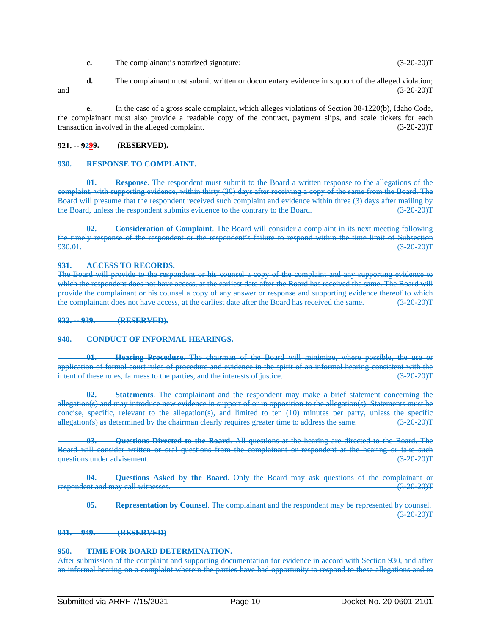- **c.** The complainant's notarized signature; (3-20-20)T
- **d.** The complainant must submit written or documentary evidence in support of the alleged violation; and (3-20-20)T

**e.** In the case of a gross scale complaint, which alleges violations of Section 38-1220(b), Idaho Code, the complainant must also provide a readable copy of the contract, payment slips, and scale tickets for each transaction involved in the alleged complaint. (3-20-20)T

## **921. -- 9299. (RESERVED).**

#### **930. RESPONSE TO COMPLAINT.**

**01. Response**. The respondent must submit to the Board a written response to the allegations of the complaint, with supporting evidence, within thirty (30) days after receiving a copy of the same from the Board. The Board will presume that the respondent received such complaint and evidence within three (3) days after mailing by the Board, unless the respondent submits evidence to the contrary to the Board. (3-20-20)T

**02. Consideration of Complaint**. The Board will consider a complaint in its next meeting following the timely response of the respondent or the respondent's failure to respond within the time limit of Subsection  $930.01.$  (3.20-20)T

#### **931. ACCESS TO RECORDS.**

The Board will provide to the respondent or his counsel a copy of the complaint and any supporting evidence to which the respondent does not have access, at the earliest date after the Board has received the same. The Board will provide the complainant or his counsel a copy of any answer or response and supporting evidence thereof to which the complainant does not have access, at the earliest date after the Board has received the same. (3-20-20) T

**932. -- 939. (RESERVED).**

#### **940. CONDUCT OF INFORMAL HEARINGS.**

**01. Hearing Procedure**. The chairman of the Board will minimize, where possible, the use or application of formal court rules of procedure and evidence in the spirit of an informal hearing consistent with the<br>intent of these rules, fairness to the parties, and the interests of justice. (3-20-20) intent of these rules, fairness to the parties, and the interests of justice.

**02. Statements**. The complainant and the respondent may make a brief statement concerning the allegation(s) and may introduce new evidence in support of or in opposition to the allegation(s). Statements must be concise, specific, relevant to the allegation(s), and limited to ten (10) minutes per party, unless the specific allegation(s) as determined by the chairman clearly requires greater time to address the same.

**03. Questions Directed to the Board**. All questions at the hearing are directed to the Board. The Board will consider written or oral questions from the complainant or respondent at the hearing or take such questions under advisement. (3-20-20) The contract of the contract of the contract of the contract of the contract of the contract of the contract of the contract of the contract of the contract of the contract of the cont

**04. Questions Asked by the Board**. Only the Board may ask questions of the complainant or respondent and may call witnesses. (3-20-20)T

**05. Representation by Counsel**. The complainant and the respondent may be represented by counsel.  $(3-20-20)T$ 

#### **941. -- 949. (RESERVED)**

# **950. TIME FOR BOARD DETERMINATION.**

After submission of the complaint and supporting documentation for evidence in accord with Section 930, and after an informal hearing on a complaint wherein the parties have had opportunity to respond to these allegations and to